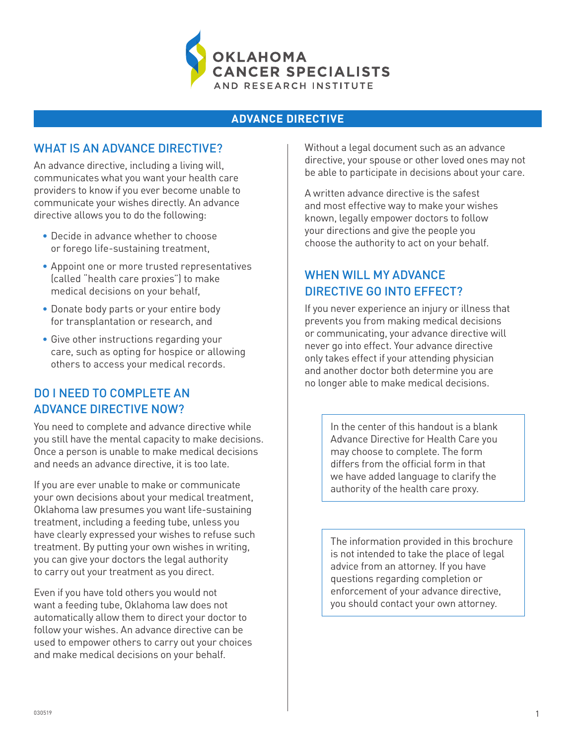

### **ADVANCE DIRECTIVE**

### WHAT IS AN ADVANCE DIRECTIVE?

An advance directive, including a living will, communicates what you want your health care providers to know if you ever become unable to communicate your wishes directly. An advance directive allows you to do the following:

- Decide in advance whether to choose or forego life-sustaining treatment,
- Appoint one or more trusted representatives (called "health care proxies") to make medical decisions on your behalf,
- Donate body parts or your entire body for transplantation or research, and
- Give other instructions regarding your care, such as opting for hospice or allowing others to access your medical records.

# DO I NEED TO COMPLETE AN ADVANCE DIRECTIVE NOW?

You need to complete and advance directive while you still have the mental capacity to make decisions. Once a person is unable to make medical decisions and needs an advance directive, it is too late.

If you are ever unable to make or communicate your own decisions about your medical treatment, Oklahoma law presumes you want life-sustaining treatment, including a feeding tube, unless you have clearly expressed your wishes to refuse such treatment. By putting your own wishes in writing, you can give your doctors the legal authority to carry out your treatment as you direct.

Even if you have told others you would not want a feeding tube, Oklahoma law does not automatically allow them to direct your doctor to follow your wishes. An advance directive can be used to empower others to carry out your choices and make medical decisions on your behalf.

Without a legal document such as an advance directive, your spouse or other loved ones may not be able to participate in decisions about your care.

A written advance directive is the safest and most effective way to make your wishes known, legally empower doctors to follow your directions and give the people you choose the authority to act on your behalf.

# WHEN WILL MY ADVANCE DIRECTIVE GO INTO EFFECT?

If you never experience an injury or illness that prevents you from making medical decisions or communicating, your advance directive will never go into effect. Your advance directive only takes effect if your attending physician and another doctor both determine you are no longer able to make medical decisions.

> In the center of this handout is a blank Advance Directive for Health Care you may choose to complete. The form differs from the official form in that we have added language to clarify the authority of the health care proxy.

The information provided in this brochure is not intended to take the place of legal advice from an attorney. If you have questions regarding completion or enforcement of your advance directive, you should contact your own attorney.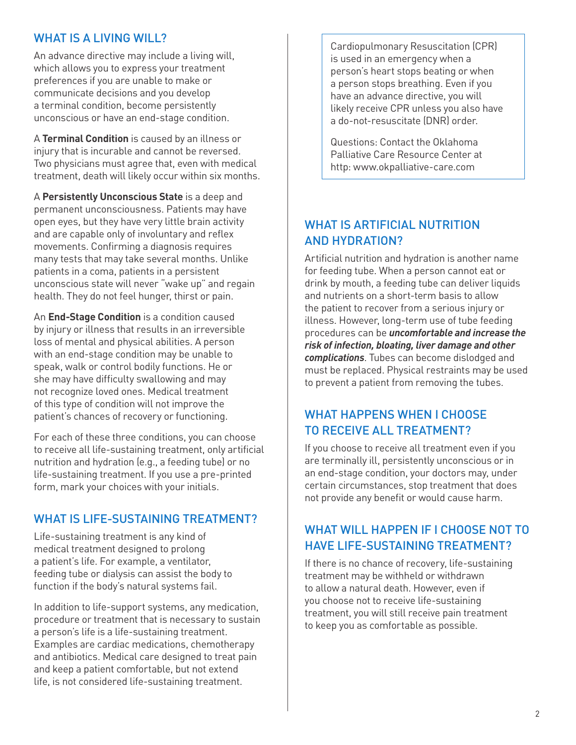## WHAT IS A LIVING WILL?

An advance directive may include a living will, which allows you to express your treatment preferences if you are unable to make or communicate decisions and you develop a terminal condition, become persistently unconscious or have an end-stage condition.

A **Terminal Condition** is caused by an illness or injury that is incurable and cannot be reversed. Two physicians must agree that, even with medical treatment, death will likely occur within six months.

A **Persistently Unconscious State** is a deep and permanent unconsciousness. Patients may have open eyes, but they have very little brain activity and are capable only of involuntary and reflex movements. Confirming a diagnosis requires many tests that may take several months. Unlike patients in a coma, patients in a persistent unconscious state will never "wake up" and regain health. They do not feel hunger, thirst or pain.

An **End-Stage Condition** is a condition caused by injury or illness that results in an irreversible loss of mental and physical abilities. A person with an end-stage condition may be unable to speak, walk or control bodily functions. He or she may have difficulty swallowing and may not recognize loved ones. Medical treatment of this type of condition will not improve the patient's chances of recovery or functioning.

For each of these three conditions, you can choose to receive all life-sustaining treatment, only artificial nutrition and hydration (e.g., a feeding tube) or no life-sustaining treatment. If you use a pre-printed form, mark your choices with your initials.

## WHAT IS LIFE-SUSTAINING TREATMENT?

Life-sustaining treatment is any kind of medical treatment designed to prolong a patient's life. For example, a ventilator, feeding tube or dialysis can assist the body to function if the body's natural systems fail.

In addition to life-support systems, any medication, procedure or treatment that is necessary to sustain a person's life is a life-sustaining treatment. Examples are cardiac medications, chemotherapy and antibiotics. Medical care designed to treat pain and keep a patient comfortable, but not extend life, is not considered life-sustaining treatment.

Cardiopulmonary Resuscitation (CPR) is used in an emergency when a person's heart stops beating or when a person stops breathing. Even if you have an advance directive, you will likely receive CPR unless you also have a do-not-resuscitate (DNR) order.

Questions: Contact the Oklahoma Palliative Care Resource Center at http: www.okpalliative-care.com

# WHAT IS ARTIFICIAL NUTRITION AND HYDRATION?

Artificial nutrition and hydration is another name for feeding tube. When a person cannot eat or drink by mouth, a feeding tube can deliver liquids and nutrients on a short-term basis to allow the patient to recover from a serious injury or illness. However, long-term use of tube feeding procedures can be *uncomfortable and increase the risk of infection, bloating, liver damage and other complications*. Tubes can become dislodged and must be replaced. Physical restraints may be used to prevent a patient from removing the tubes.

## WHAT HAPPENS WHEN I CHOOSE TO RECEIVE ALL TREATMENT?

If you choose to receive all treatment even if you are terminally ill, persistently unconscious or in an end-stage condition, your doctors may, under certain circumstances, stop treatment that does not provide any benefit or would cause harm.

# WHAT WILL HAPPEN IF I CHOOSE NOT TO HAVE LIFE-SUSTAINING TREATMENT?

If there is no chance of recovery, life-sustaining treatment may be withheld or withdrawn to allow a natural death. However, even if you choose not to receive life-sustaining treatment, you will still receive pain treatment to keep you as comfortable as possible.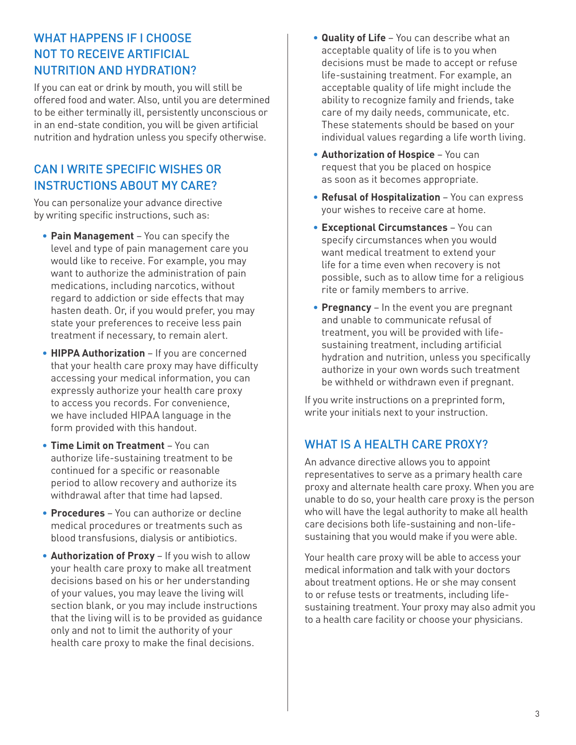# WHAT HAPPENS IF I CHOOSE NOT TO RECEIVE ARTIFICIAL NUTRITION AND HYDRATION?

If you can eat or drink by mouth, you will still be offered food and water. Also, until you are determined to be either terminally ill, persistently unconscious or in an end-state condition, you will be given artificial nutrition and hydration unless you specify otherwise.

# CAN I WRITE SPECIFIC WISHES OR INSTRUCTIONS ABOUT MY CARE?

You can personalize your advance directive by writing specific instructions, such as:

- **• Pain Management** You can specify the level and type of pain management care you would like to receive. For example, you may want to authorize the administration of pain medications, including narcotics, without regard to addiction or side effects that may hasten death. Or, if you would prefer, you may state your preferences to receive less pain treatment if necessary, to remain alert.
- **• HIPPA Authorization** If you are concerned that your health care proxy may have difficulty accessing your medical information, you can expressly authorize your health care proxy to access you records. For convenience, we have included HIPAA language in the form provided with this handout.
- **• Time Limit on Treatment** You can authorize life-sustaining treatment to be continued for a specific or reasonable period to allow recovery and authorize its withdrawal after that time had lapsed.
- **• Procedures** You can authorize or decline medical procedures or treatments such as blood transfusions, dialysis or antibiotics.
- **• Authorization of Proxy** If you wish to allow your health care proxy to make all treatment decisions based on his or her understanding of your values, you may leave the living will section blank, or you may include instructions that the living will is to be provided as guidance only and not to limit the authority of your health care proxy to make the final decisions.
- **• Quality of Life** You can describe what an acceptable quality of life is to you when decisions must be made to accept or refuse life-sustaining treatment. For example, an acceptable quality of life might include the ability to recognize family and friends, take care of my daily needs, communicate, etc. These statements should be based on your individual values regarding a life worth living.
- **• Authorization of Hospice** You can request that you be placed on hospice as soon as it becomes appropriate.
- **• Refusal of Hospitalization** You can express your wishes to receive care at home.
- **• Exceptional Circumstances** You can specify circumstances when you would want medical treatment to extend your life for a time even when recovery is not possible, such as to allow time for a religious rite or family members to arrive.
- **• Pregnancy** In the event you are pregnant and unable to communicate refusal of treatment, you will be provided with lifesustaining treatment, including artificial hydration and nutrition, unless you specifically authorize in your own words such treatment be withheld or withdrawn even if pregnant.

If you write instructions on a preprinted form, write your initials next to your instruction.

# WHAT IS A HEALTH CARE PROXY?

An advance directive allows you to appoint representatives to serve as a primary health care proxy and alternate health care proxy. When you are unable to do so, your health care proxy is the person who will have the legal authority to make all health care decisions both life-sustaining and non-lifesustaining that you would make if you were able.

Your health care proxy will be able to access your medical information and talk with your doctors about treatment options. He or she may consent to or refuse tests or treatments, including lifesustaining treatment. Your proxy may also admit you to a health care facility or choose your physicians.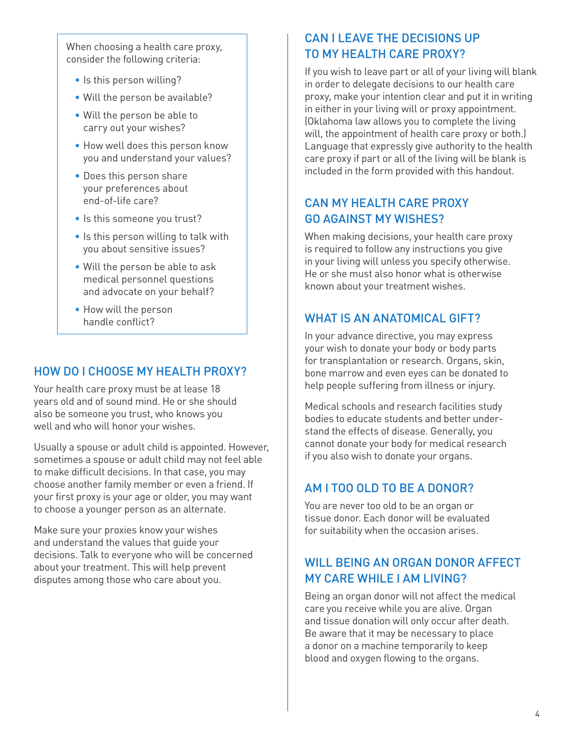When choosing a health care proxy, consider the following criteria:

- Is this person willing?
- Will the person be available?
- Will the person be able to carry out your wishes?
- How well does this person know you and understand your values?
- Does this person share your preferences about end-of-life care?
- Is this someone you trust?
- Is this person willing to talk with you about sensitive issues?
- Will the person be able to ask medical personnel questions and advocate on your behalf?
- How will the person handle conflict?

# HOW DO I CHOOSE MY HEALTH PROXY?

Your health care proxy must be at lease 18 years old and of sound mind. He or she should also be someone you trust, who knows you well and who will honor your wishes.

Usually a spouse or adult child is appointed. However, sometimes a spouse or adult child may not feel able to make difficult decisions. In that case, you may choose another family member or even a friend. If your first proxy is your age or older, you may want to choose a younger person as an alternate.

Make sure your proxies know your wishes and understand the values that guide your decisions. Talk to everyone who will be concerned about your treatment. This will help prevent disputes among those who care about you.

# CAN I LEAVE THE DECISIONS UP TO MY HEALTH CARE PROXY?

If you wish to leave part or all of your living will blank in order to delegate decisions to our health care proxy, make your intention clear and put it in writing in either in your living will or proxy appointment. (Oklahoma law allows you to complete the living will, the appointment of health care proxy or both.) Language that expressly give authority to the health care proxy if part or all of the living will be blank is included in the form provided with this handout.

# CAN MY HEALTH CARE PROXY GO AGAINST MY WISHES?

When making decisions, your health care proxy is required to follow any instructions you give in your living will unless you specify otherwise. He or she must also honor what is otherwise known about your treatment wishes.

# WHAT IS AN ANATOMICAL GIFT?

In your advance directive, you may express your wish to donate your body or body parts for transplantation or research. Organs, skin, bone marrow and even eyes can be donated to help people suffering from illness or injury.

Medical schools and research facilities study bodies to educate students and better understand the effects of disease. Generally, you cannot donate your body for medical research if you also wish to donate your organs.

# AM I TOO OLD TO BE A DONOR?

You are never too old to be an organ or tissue donor. Each donor will be evaluated for suitability when the occasion arises.

# WILL BEING AN ORGAN DONOR AFFECT MY CARE WHILE I AM LIVING?

Being an organ donor will not affect the medical care you receive while you are alive. Organ and tissue donation will only occur after death. Be aware that it may be necessary to place a donor on a machine temporarily to keep blood and oxygen flowing to the organs.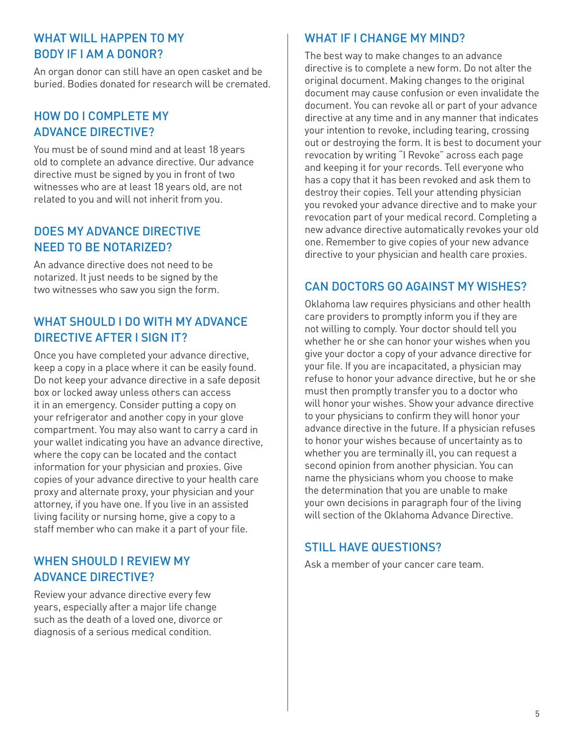# WHAT WILL HAPPEN TO MY BODY IF I AM A DONOR?

An organ donor can still have an open casket and be buried. Bodies donated for research will be cremated.

# HOW DO I COMPLETE MY ADVANCE DIRECTIVE?

You must be of sound mind and at least 18 years old to complete an advance directive. Our advance directive must be signed by you in front of two witnesses who are at least 18 years old, are not related to you and will not inherit from you.

# DOES MY ADVANCE DIRECTIVE NEED TO BE NOTARIZED?

An advance directive does not need to be notarized. It just needs to be signed by the two witnesses who saw you sign the form.

# WHAT SHOULD I DO WITH MY ADVANCE DIRECTIVE AFTER I SIGN IT?

Once you have completed your advance directive, keep a copy in a place where it can be easily found. Do not keep your advance directive in a safe deposit box or locked away unless others can access it in an emergency. Consider putting a copy on your refrigerator and another copy in your glove compartment. You may also want to carry a card in your wallet indicating you have an advance directive, where the copy can be located and the contact information for your physician and proxies. Give copies of your advance directive to your health care proxy and alternate proxy, your physician and your attorney, if you have one. If you live in an assisted living facility or nursing home, give a copy to a staff member who can make it a part of your file.

## WHEN SHOULD I REVIEW MY ADVANCE DIRECTIVE?

Review your advance directive every few years, especially after a major life change such as the death of a loved one, divorce or diagnosis of a serious medical condition.

### WHAT IF I CHANGE MY MIND?

The best way to make changes to an advance directive is to complete a new form. Do not alter the original document. Making changes to the original document may cause confusion or even invalidate the document. You can revoke all or part of your advance directive at any time and in any manner that indicates your intention to revoke, including tearing, crossing out or destroying the form. It is best to document your revocation by writing "I Revoke" across each page and keeping it for your records. Tell everyone who has a copy that it has been revoked and ask them to destroy their copies. Tell your attending physician you revoked your advance directive and to make your revocation part of your medical record. Completing a new advance directive automatically revokes your old one. Remember to give copies of your new advance directive to your physician and health care proxies.

## CAN DOCTORS GO AGAINST MY WISHES?

Oklahoma law requires physicians and other health care providers to promptly inform you if they are not willing to comply. Your doctor should tell you whether he or she can honor your wishes when you give your doctor a copy of your advance directive for your file. If you are incapacitated, a physician may refuse to honor your advance directive, but he or she must then promptly transfer you to a doctor who will honor your wishes. Show your advance directive to your physicians to confirm they will honor your advance directive in the future. If a physician refuses to honor your wishes because of uncertainty as to whether you are terminally ill, you can request a second opinion from another physician. You can name the physicians whom you choose to make the determination that you are unable to make your own decisions in paragraph four of the living will section of the Oklahoma Advance Directive.

# STILL HAVE QUESTIONS?

Ask a member of your cancer care team.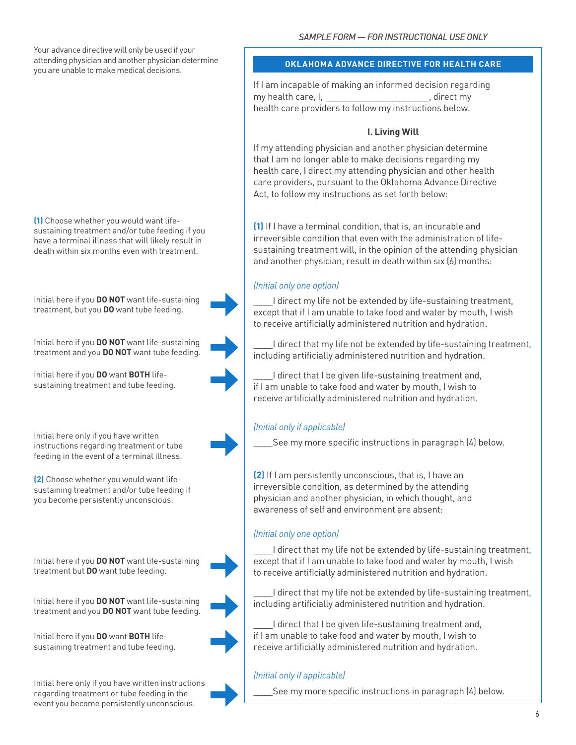**(1)** Choose whether you would want lifesustaining treatment and/or tube feeding if you have a terminal illness that will likely result in death within six months even with treatment.

Initial here if you **DO NOT** want life-sustaining treatment, but you **DO** want tube feeding.

Initial here if you **DO NOT** want life-sustaining treatment and you **DO NOT** want tube feeding.

Initial here if you **DO** want **BOTH** lifesustaining treatment and tube feeding.

Initial here only if you have written instructions regarding treatment or tube feeding in the event of a terminal illness.

**(2)** Choose whether you would want lifesustaining treatment and/or tube feeding if you become persistently unconscious.

Initial here if you **DO NOT** want life-sustaining treatment but **DO** want tube feeding.

Initial here if you **DO NOT** want life-sustaining treatment and you **DO NOT** want tube feeding.

Initial here if you **DO** want **BOTH** lifesustaining treatment and tube feeding.

Initial here only if you have written instructions regarding treatment or tube feeding in the event you become persistently unconscious.

### **OKLAHOMA ADVANCE DIRECTIVE FOR HEALTH CARE**

If I am incapable of making an informed decision regarding my health care, I, the controller controller in the controller point of the controller point of the controller health care providers to follow my instructions below.

### **I. Living Will**

If my attending physician and another physician determine that I am no longer able to make decisions regarding my health care, I direct my attending physician and other health care providers, pursuant to the Oklahoma Advance Directive Act, to follow my instructions as set forth below:

**(1)** If I have a terminal condition, that is, an incurable and irreversible condition that even with the administration of lifesustaining treatment will, in the opinion of the attending physician and another physician, result in death within six (6) months:

### *(Initial only one option)*

I direct my life not be extended by life-sustaining treatment, except that if I am unable to take food and water by mouth, I wish to receive artificially administered nutrition and hydration.

I direct that my life not be extended by life-sustaining treatment, including artificially administered nutrition and hydration.

I direct that I be given life-sustaining treatment and, if I am unable to take food and water by mouth, I wish to receive artificially administered nutrition and hydration.

### *(Initial only if applicable)*

\_\_\_\_\_ See my more specific instructions in paragraph (4) below.

**(2)** If I am persistently unconscious, that is, I have an irreversible condition, as determined by the attending physician and another physician, in which thought, and awareness of self and environment are absent:

### *(Initial only one option)*

I direct that my life not be extended by life-sustaining treatment, except that if I am unable to take food and water by mouth, I wish to receive artificially administered nutrition and hydration.

I direct that my life not be extended by life-sustaining treatment, including artificially administered nutrition and hydration.

\_\_\_\_\_ I direct that I be given life-sustaining treatment and, if I am unable to take food and water by mouth, I wish to receive artificially administered nutrition and hydration.

### *(Initial only if applicable)*

See my more specific instructions in paragraph (4) below.











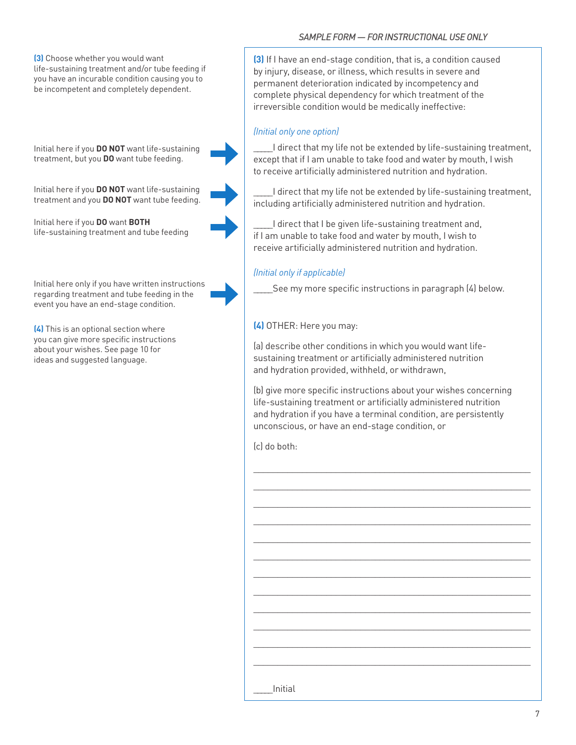**(3)** Choose whether you would want life-sustaining treatment and/or tube feeding if you have an incurable condition causing you to be incompetent and completely dependent.

Initial here if you **DO NOT** want life-sustaining treatment, but you **DO** want tube feeding.

Initial here if you **DO NOT** want life-sustaining treatment and you **DO NOT** want tube feeding.

Initial here if you **DO** want **BOTH** life-sustaining treatment and tube feeding

Initial here only if you have written instructions regarding treatment and tube feeding in the event you have an end-stage condition.

**(4)** This is an optional section where you can give more specific instructions about your wishes. See page 10 for ideas and suggested language.

### *SAMPLE FORM — FOR INSTRUCTIONAL USE ONLY*

**(3)** If I have an end-stage condition, that is, a condition caused by injury, disease, or illness, which results in severe and permanent deterioration indicated by incompetency and complete physical dependency for which treatment of the irreversible condition would be medically ineffective:

### *(Initial only one option)*

I direct that my life not be extended by life-sustaining treatment, except that if I am unable to take food and water by mouth, I wish to receive artificially administered nutrition and hydration.

I direct that my life not be extended by life-sustaining treatment, including artificially administered nutrition and hydration.

I direct that I be given life-sustaining treatment and, if I am unable to take food and water by mouth, I wish to receive artificially administered nutrition and hydration.

### *(Initial only if applicable)*

\_\_\_\_\_ See my more specific instructions in paragraph (4) below.

#### **(4)** OTHER: Here you may:

(a) describe other conditions in which you would want lifesustaining treatment or artificially administered nutrition and hydration provided, withheld, or withdrawn,

(b) give more specific instructions about your wishes concerning life-sustaining treatment or artificially administered nutrition and hydration if you have a terminal condition, are persistently unconscious, or have an end-stage condition, or

\_\_\_\_\_\_\_\_\_\_\_\_\_\_\_\_\_\_\_\_\_\_\_\_\_\_\_\_\_\_\_\_\_\_\_\_\_\_\_\_\_\_\_\_\_\_\_\_\_\_\_\_\_\_\_\_\_ \_\_\_\_\_\_\_\_\_\_\_\_\_\_\_\_\_\_\_\_\_\_\_\_\_\_\_\_\_\_\_\_\_\_\_\_\_\_\_\_\_\_\_\_\_\_\_\_\_\_\_\_\_\_\_\_\_ \_\_\_\_\_\_\_\_\_\_\_\_\_\_\_\_\_\_\_\_\_\_\_\_\_\_\_\_\_\_\_\_\_\_\_\_\_\_\_\_\_\_\_\_\_\_\_\_\_\_\_\_\_\_\_\_\_ \_\_\_\_\_\_\_\_\_\_\_\_\_\_\_\_\_\_\_\_\_\_\_\_\_\_\_\_\_\_\_\_\_\_\_\_\_\_\_\_\_\_\_\_\_\_\_\_\_\_\_\_\_\_\_\_\_ \_\_\_\_\_\_\_\_\_\_\_\_\_\_\_\_\_\_\_\_\_\_\_\_\_\_\_\_\_\_\_\_\_\_\_\_\_\_\_\_\_\_\_\_\_\_\_\_\_\_\_\_\_\_\_\_\_ \_\_\_\_\_\_\_\_\_\_\_\_\_\_\_\_\_\_\_\_\_\_\_\_\_\_\_\_\_\_\_\_\_\_\_\_\_\_\_\_\_\_\_\_\_\_\_\_\_\_\_\_\_\_\_\_\_ \_\_\_\_\_\_\_\_\_\_\_\_\_\_\_\_\_\_\_\_\_\_\_\_\_\_\_\_\_\_\_\_\_\_\_\_\_\_\_\_\_\_\_\_\_\_\_\_\_\_\_\_\_\_\_\_\_ \_\_\_\_\_\_\_\_\_\_\_\_\_\_\_\_\_\_\_\_\_\_\_\_\_\_\_\_\_\_\_\_\_\_\_\_\_\_\_\_\_\_\_\_\_\_\_\_\_\_\_\_\_\_\_\_\_ \_\_\_\_\_\_\_\_\_\_\_\_\_\_\_\_\_\_\_\_\_\_\_\_\_\_\_\_\_\_\_\_\_\_\_\_\_\_\_\_\_\_\_\_\_\_\_\_\_\_\_\_\_\_\_\_\_ \_\_\_\_\_\_\_\_\_\_\_\_\_\_\_\_\_\_\_\_\_\_\_\_\_\_\_\_\_\_\_\_\_\_\_\_\_\_\_\_\_\_\_\_\_\_\_\_\_\_\_\_\_\_\_\_\_ \_\_\_\_\_\_\_\_\_\_\_\_\_\_\_\_\_\_\_\_\_\_\_\_\_\_\_\_\_\_\_\_\_\_\_\_\_\_\_\_\_\_\_\_\_\_\_\_\_\_\_\_\_\_\_\_\_ \_\_\_\_\_\_\_\_\_\_\_\_\_\_\_\_\_\_\_\_\_\_\_\_\_\_\_\_\_\_\_\_\_\_\_\_\_\_\_\_\_\_\_\_\_\_\_\_\_\_\_\_\_\_\_\_\_

(c) do both:

\_\_\_\_\_ Initial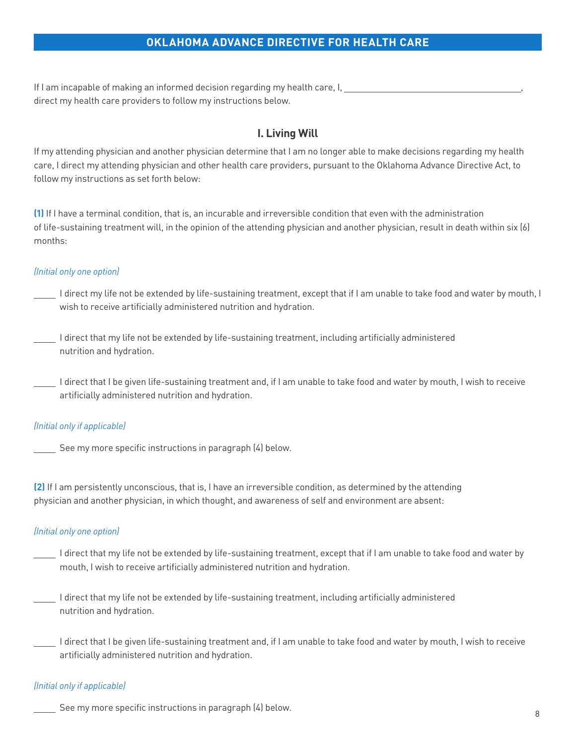### **OKLAHOMA ADVANCE DIRECTIVE FOR HEALTH CARE**

If I am incapable of making an informed decision regarding my health care, I, *\_\_\_\_\_\_\_\_\_\_\_\_\_\_\_\_\_\_\_\_\_\_\_\_\_\_* direct my health care providers to follow my instructions below.

#### **I. Living Will**

If my attending physician and another physician determine that I am no longer able to make decisions regarding my health care, I direct my attending physician and other health care providers, pursuant to the Oklahoma Advance Directive Act, to follow my instructions as set forth below:

**(1)** If I have a terminal condition, that is, an incurable and irreversible condition that even with the administration of life-sustaining treatment will, in the opinion of the attending physician and another physician, result in death within six (6) months:

#### *(Initial only one option)*

- I direct my life not be extended by life-sustaining treatment, except that if I am unable to take food and water by mouth, I wish to receive artificially administered nutrition and hydration.
- I direct that my life not be extended by life-sustaining treatment, including artificially administered nutrition and hydration.

 I direct that I be given life-sustaining treatment and, if I am unable to take food and water by mouth, I wish to receive artificially administered nutrition and hydration.

#### *(Initial only if applicable)*

See my more specific instructions in paragraph (4) below.

**(2)** If I am persistently unconscious, that is, I have an irreversible condition, as determined by the attending physician and another physician, in which thought, and awareness of self and environment are absent:

#### *(Initial only one option)*

- I direct that my life not be extended by life-sustaining treatment, except that if I am unable to take food and water by mouth, I wish to receive artificially administered nutrition and hydration.
- I direct that my life not be extended by life-sustaining treatment, including artificially administered nutrition and hydration.
- I direct that I be given life-sustaining treatment and, if I am unable to take food and water by mouth, I wish to receive artificially administered nutrition and hydration.

#### *(Initial only if applicable)*

See my more specific instructions in paragraph (4) below.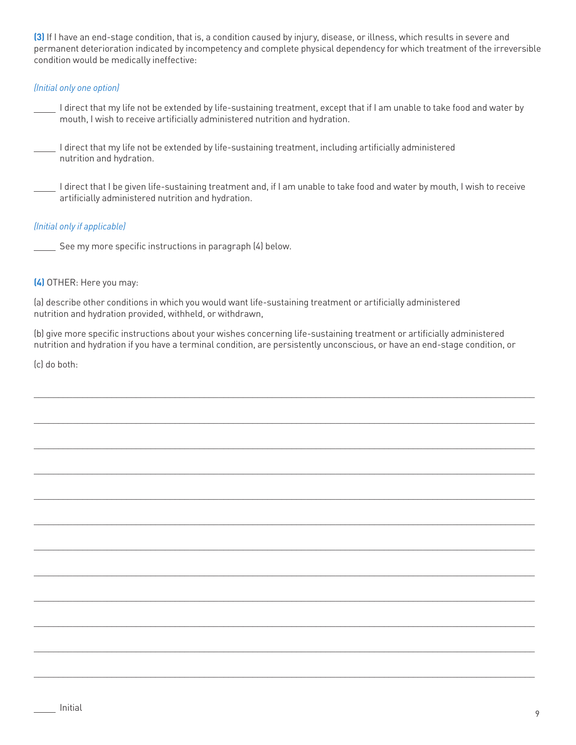**(3)** If I have an end-stage condition, that is, a condition caused by injury, disease, or illness, which results in severe and permanent deterioration indicated by incompetency and complete physical dependency for which treatment of the irreversible condition would be medically ineffective:

#### *(Initial only one option)*

- I direct that my life not be extended by life-sustaining treatment, except that if I am unable to take food and water by mouth, I wish to receive artificially administered nutrition and hydration.
- I direct that my life not be extended by life-sustaining treatment, including artificially administered nutrition and hydration.
- I direct that I be given life-sustaining treatment and, if I am unable to take food and water by mouth, I wish to receive artificially administered nutrition and hydration.

#### *(Initial only if applicable)*

See my more specific instructions in paragraph (4) below.

#### **(4)** OTHER: Here you may:

(a) describe other conditions in which you would want life-sustaining treatment or artificially administered nutrition and hydration provided, withheld, or withdrawn,

(b) give more specific instructions about your wishes concerning life-sustaining treatment or artificially administered nutrition and hydration if you have a terminal condition, are persistently unconscious, or have an end-stage condition, or

\_\_\_\_\_\_\_\_\_\_\_\_\_\_\_\_\_\_\_\_\_\_\_\_\_\_\_\_\_\_\_\_\_\_\_\_\_\_\_\_\_\_\_\_\_\_\_\_\_\_\_\_\_\_\_\_\_\_\_\_\_\_\_\_\_\_\_\_\_\_\_\_\_\_\_\_\_\_\_\_\_\_\_\_\_\_\_\_\_\_\_\_\_\_\_\_\_\_\_\_\_\_\_

\_\_\_\_\_\_\_\_\_\_\_\_\_\_\_\_\_\_\_\_\_\_\_\_\_\_\_\_\_\_\_\_\_\_\_\_\_\_\_\_\_\_\_\_\_\_\_\_\_\_\_\_\_\_\_\_\_\_\_\_\_\_\_\_\_\_\_\_\_\_\_\_\_\_\_\_\_\_\_\_\_\_\_\_\_\_\_\_\_\_\_\_\_\_\_\_\_\_\_\_\_\_\_

\_\_\_\_\_\_\_\_\_\_\_\_\_\_\_\_\_\_\_\_\_\_\_\_\_\_\_\_\_\_\_\_\_\_\_\_\_\_\_\_\_\_\_\_\_\_\_\_\_\_\_\_\_\_\_\_\_\_\_\_\_\_\_\_\_\_\_\_\_\_\_\_\_\_\_\_\_\_\_\_\_\_\_\_\_\_\_\_\_\_\_\_\_\_\_\_\_\_\_\_\_\_\_

\_\_\_\_\_\_\_\_\_\_\_\_\_\_\_\_\_\_\_\_\_\_\_\_\_\_\_\_\_\_\_\_\_\_\_\_\_\_\_\_\_\_\_\_\_\_\_\_\_\_\_\_\_\_\_\_\_\_\_\_\_\_\_\_\_\_\_\_\_\_\_\_\_\_\_\_\_\_\_\_\_\_\_\_\_\_\_\_\_\_\_\_\_\_\_\_\_\_\_\_\_\_\_

\_\_\_\_\_\_\_\_\_\_\_\_\_\_\_\_\_\_\_\_\_\_\_\_\_\_\_\_\_\_\_\_\_\_\_\_\_\_\_\_\_\_\_\_\_\_\_\_\_\_\_\_\_\_\_\_\_\_\_\_\_\_\_\_\_\_\_\_\_\_\_\_\_\_\_\_\_\_\_\_\_\_\_\_\_\_\_\_\_\_\_\_\_\_\_\_\_\_\_\_\_\_\_

\_\_\_\_\_\_\_\_\_\_\_\_\_\_\_\_\_\_\_\_\_\_\_\_\_\_\_\_\_\_\_\_\_\_\_\_\_\_\_\_\_\_\_\_\_\_\_\_\_\_\_\_\_\_\_\_\_\_\_\_\_\_\_\_\_\_\_\_\_\_\_\_\_\_\_\_\_\_\_\_\_\_\_\_\_\_\_\_\_\_\_\_\_\_\_\_\_\_\_\_\_\_\_

\_\_\_\_\_\_\_\_\_\_\_\_\_\_\_\_\_\_\_\_\_\_\_\_\_\_\_\_\_\_\_\_\_\_\_\_\_\_\_\_\_\_\_\_\_\_\_\_\_\_\_\_\_\_\_\_\_\_\_\_\_\_\_\_\_\_\_\_\_\_\_\_\_\_\_\_\_\_\_\_\_\_\_\_\_\_\_\_\_\_\_\_\_\_\_\_\_\_\_\_\_\_\_

\_\_\_\_\_\_\_\_\_\_\_\_\_\_\_\_\_\_\_\_\_\_\_\_\_\_\_\_\_\_\_\_\_\_\_\_\_\_\_\_\_\_\_\_\_\_\_\_\_\_\_\_\_\_\_\_\_\_\_\_\_\_\_\_\_\_\_\_\_\_\_\_\_\_\_\_\_\_\_\_\_\_\_\_\_\_\_\_\_\_\_\_\_\_\_\_\_\_\_\_\_\_\_

\_\_\_\_\_\_\_\_\_\_\_\_\_\_\_\_\_\_\_\_\_\_\_\_\_\_\_\_\_\_\_\_\_\_\_\_\_\_\_\_\_\_\_\_\_\_\_\_\_\_\_\_\_\_\_\_\_\_\_\_\_\_\_\_\_\_\_\_\_\_\_\_\_\_\_\_\_\_\_\_\_\_\_\_\_\_\_\_\_\_\_\_\_\_\_\_\_\_\_\_\_\_\_

\_\_\_\_\_\_\_\_\_\_\_\_\_\_\_\_\_\_\_\_\_\_\_\_\_\_\_\_\_\_\_\_\_\_\_\_\_\_\_\_\_\_\_\_\_\_\_\_\_\_\_\_\_\_\_\_\_\_\_\_\_\_\_\_\_\_\_\_\_\_\_\_\_\_\_\_\_\_\_\_\_\_\_\_\_\_\_\_\_\_\_\_\_\_\_\_\_\_\_\_\_\_\_

\_\_\_\_\_\_\_\_\_\_\_\_\_\_\_\_\_\_\_\_\_\_\_\_\_\_\_\_\_\_\_\_\_\_\_\_\_\_\_\_\_\_\_\_\_\_\_\_\_\_\_\_\_\_\_\_\_\_\_\_\_\_\_\_\_\_\_\_\_\_\_\_\_\_\_\_\_\_\_\_\_\_\_\_\_\_\_\_\_\_\_\_\_\_\_\_\_\_\_\_\_\_\_

\_\_\_\_\_\_\_\_\_\_\_\_\_\_\_\_\_\_\_\_\_\_\_\_\_\_\_\_\_\_\_\_\_\_\_\_\_\_\_\_\_\_\_\_\_\_\_\_\_\_\_\_\_\_\_\_\_\_\_\_\_\_\_\_\_\_\_\_\_\_\_\_\_\_\_\_\_\_\_\_\_\_\_\_\_\_\_\_\_\_\_\_\_\_\_\_\_\_\_\_\_\_\_

(c) do both: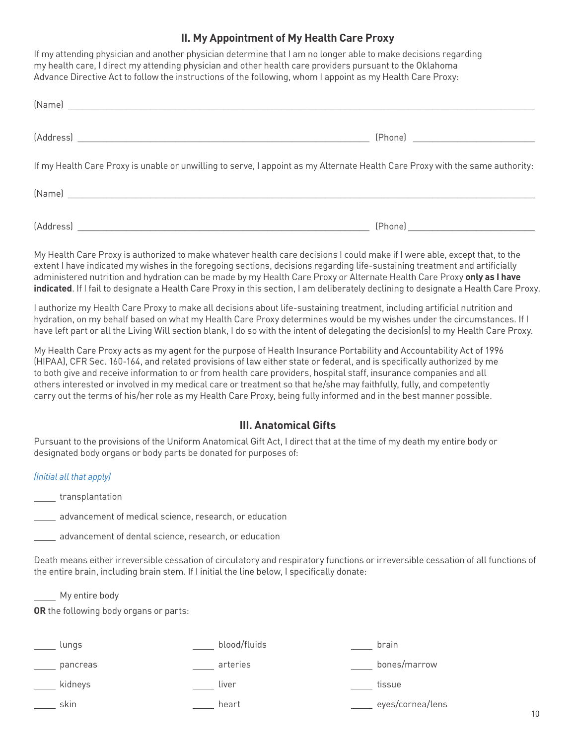### **II. My Appointment of My Health Care Proxy**

If my attending physician and another physician determine that I am no longer able to make decisions regarding my health care, I direct my attending physician and other health care providers pursuant to the Oklahoma Advance Directive Act to follow the instructions of the following, whom I appoint as my Health Care Proxy:

| (Name) <u>and the contract of the contract of the contract of the contract of the contract of the contract of the contract of the contract of the contract of the contract of the contract of the contract of the contract of th</u> |  |
|--------------------------------------------------------------------------------------------------------------------------------------------------------------------------------------------------------------------------------------|--|
|                                                                                                                                                                                                                                      |  |
| If my Health Care Proxy is unable or unwilling to serve, I appoint as my Alternate Health Care Proxy with the same authority:                                                                                                        |  |
|                                                                                                                                                                                                                                      |  |
|                                                                                                                                                                                                                                      |  |

My Health Care Proxy is authorized to make whatever health care decisions I could make if I were able, except that, to the extent I have indicated my wishes in the foregoing sections, decisions regarding life-sustaining treatment and artificially administered nutrition and hydration can be made by my Health Care Proxy or Alternate Health Care Proxy **only as I have indicated**. If I fail to designate a Health Care Proxy in this section, I am deliberately declining to designate a Health Care Proxy.

I authorize my Health Care Proxy to make all decisions about life-sustaining treatment, including artificial nutrition and hydration, on my behalf based on what my Health Care Proxy determines would be my wishes under the circumstances. If I have left part or all the Living Will section blank, I do so with the intent of delegating the decision(s) to my Health Care Proxy.

My Health Care Proxy acts as my agent for the purpose of Health Insurance Portability and Accountability Act of 1996 (HIPAA), CFR Sec. 160-164, and related provisions of law either state or federal, and is specifically authorized by me to both give and receive information to or from health care providers, hospital staff, insurance companies and all others interested or involved in my medical care or treatment so that he/she may faithfully, fully, and competently carry out the terms of his/her role as my Health Care Proxy, being fully informed and in the best manner possible.

### **III. Anatomical Gifts**

Pursuant to the provisions of the Uniform Anatomical Gift Act, I direct that at the time of my death my entire body or designated body organs or body parts be donated for purposes of:

### *(Initial all that apply)*

transplantation

advancement of medical science, research, or education

advancement of dental science, research, or education

Death means either irreversible cessation of circulatory and respiratory functions or irreversible cessation of all functions of the entire brain, including brain stem. If I initial the line below, I specifically donate:

My entire body

**OR** the following body organs or parts:

| lungs    | blood/fluids | brain            |
|----------|--------------|------------------|
| pancreas | arteries     | bones/marrow     |
| kidneys  | liver        | tissue           |
| skin     | heart        | eyes/cornea/lens |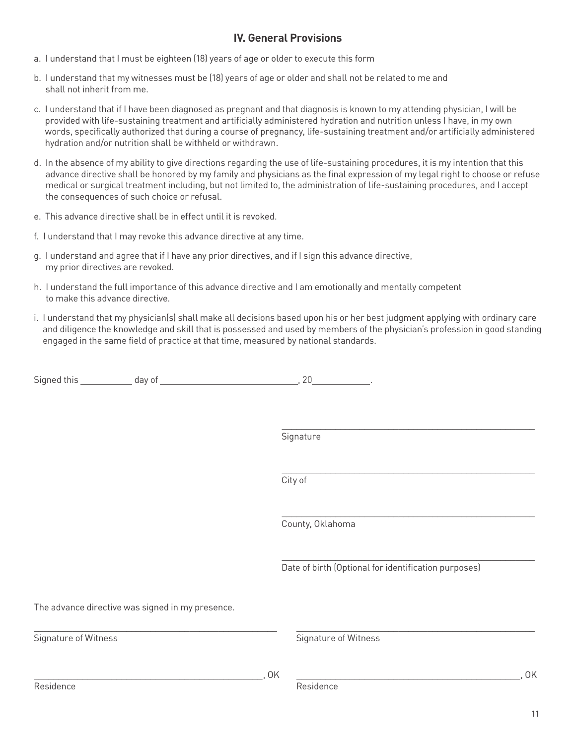### **IV. General Provisions**

- a. I understand that I must be eighteen (18) years of age or older to execute this form
- b. I understand that my witnesses must be (18) years of age or older and shall not be related to me and shall not inherit from me.
- c. I understand that if I have been diagnosed as pregnant and that diagnosis is known to my attending physician, I will be provided with life-sustaining treatment and artificially administered hydration and nutrition unless I have, in my own words, specifically authorized that during a course of pregnancy, life-sustaining treatment and/or artificially administered hydration and/or nutrition shall be withheld or withdrawn.
- d. In the absence of my ability to give directions regarding the use of life-sustaining procedures, it is my intention that this advance directive shall be honored by my family and physicians as the final expression of my legal right to choose or refuse medical or surgical treatment including, but not limited to, the administration of life-sustaining procedures, and I accept the consequences of such choice or refusal.
- e. This advance directive shall be in effect until it is revoked.
- f. I understand that I may revoke this advance directive at any time.
- g. I understand and agree that if I have any prior directives, and if I sign this advance directive, my prior directives are revoked.
- h. I understand the full importance of this advance directive and I am emotionally and mentally competent to make this advance directive.
- i. I understand that my physician(s) shall make all decisions based upon his or her best judgment applying with ordinary care and diligence the knowledge and skill that is possessed and used by members of the physician's profession in good standing engaged in the same field of practice at that time, measured by national standards.

|                      |                                                  |      | Signature                                            |    |
|----------------------|--------------------------------------------------|------|------------------------------------------------------|----|
|                      |                                                  |      | City of                                              |    |
|                      |                                                  |      | County, Oklahoma                                     |    |
|                      |                                                  |      | Date of birth (Optional for identification purposes) |    |
|                      | The advance directive was signed in my presence. |      |                                                      |    |
| Signature of Witness |                                                  |      | Signature of Witness                                 |    |
|                      |                                                  | , OK |                                                      | OK |
| Residence            |                                                  |      | Residence                                            |    |